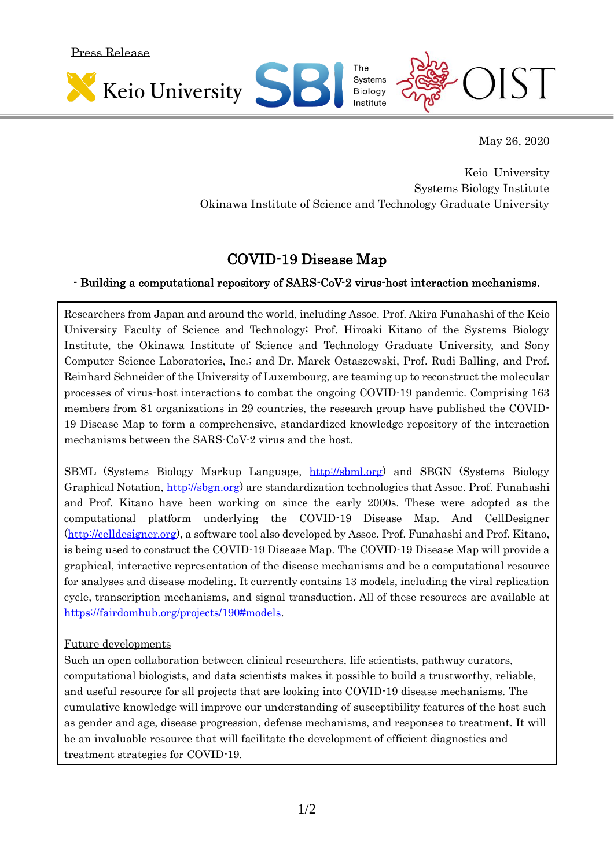Press Release



May 26, 2020

Keio University Systems Biology Institute Okinawa Institute of Science and Technology Graduate University

## COVID-19 Disease Map

## - Building a computational repository of SARS-CoV-2 virus-host interaction mechanisms.

Researchers from Japan and around the world, including Assoc. Prof. Akira Funahashi of the Keio University Faculty of Science and Technology; Prof. Hiroaki Kitano of the Systems Biology Institute, the Okinawa Institute of Science and Technology Graduate University, and Sony Computer Science Laboratories, Inc.; and Dr. Marek Ostaszewski, Prof. Rudi Balling, and Prof. Reinhard Schneider of the University of Luxembourg, are teaming up to reconstruct the molecular processes of virus-host interactions to combat the ongoing COVID-19 pandemic. Comprising 163 members from 81 organizations in 29 countries, the research group have published the COVID-19 Disease Map to form a comprehensive, standardized knowledge repository of the interaction mechanisms between the SARS-CoV-2 virus and the host.

SBML (Systems Biology Markup Language, [http://sbml.org\)](http://sbml.org/) and SBGN (Systems Biology Graphical Notation, [http://sbgn.org\)](http://sbgn.org/) are standardization technologies that Assoc. Prof. Funahashi and Prof. Kitano have been working on since the early 2000s. These were adopted as the computational platform underlying the COVID-19 Disease Map. And CellDesigner [\(http://celldesigner.org\)](http://celldesigner.org/), a software tool also developed by Assoc. Prof. Funahashi and Prof. Kitano, is being used to construct the COVID-19 Disease Map. The COVID-19 Disease Map will provide a graphical, interactive representation of the disease mechanisms and be a computational resource for analyses and disease modeling. It currently contains 13 models, including the viral replication cycle, transcription mechanisms, and signal transduction. All of these resources are available at [https://fairdomhub.org/projects/190#models.](https://fairdomhub.org/projects/190#models)

## Future developments

Such an open collaboration between clinical researchers, life scientists, pathway curators, computational biologists, and data scientists makes it possible to build a trustworthy, reliable, and useful resource for all projects that are looking into COVID-19 disease mechanisms. The cumulative knowledge will improve our understanding of susceptibility features of the host such as gender and age, disease progression, defense mechanisms, and responses to treatment. It will be an invaluable resource that will facilitate the development of efficient diagnostics and treatment strategies for COVID-19.